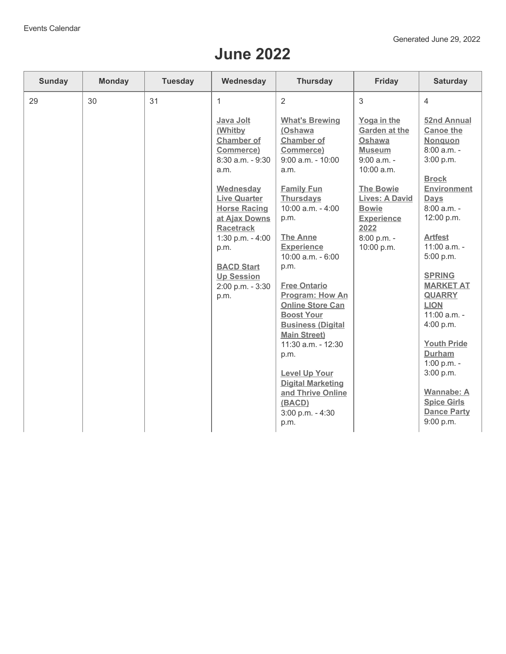## **June 2022**

| <b>Sunday</b> | <b>Monday</b> | <b>Tuesday</b> | Wednesday                                                                                                                                                                                                                                                                             | <b>Thursday</b>                                                                                                                                                                                                                                                                                                                                                                                                                                                                                                                         | Friday                                                                                                                                                                                                        | <b>Saturday</b>                                                                                                                                                                                                                                                                                                                                                                                                                                        |
|---------------|---------------|----------------|---------------------------------------------------------------------------------------------------------------------------------------------------------------------------------------------------------------------------------------------------------------------------------------|-----------------------------------------------------------------------------------------------------------------------------------------------------------------------------------------------------------------------------------------------------------------------------------------------------------------------------------------------------------------------------------------------------------------------------------------------------------------------------------------------------------------------------------------|---------------------------------------------------------------------------------------------------------------------------------------------------------------------------------------------------------------|--------------------------------------------------------------------------------------------------------------------------------------------------------------------------------------------------------------------------------------------------------------------------------------------------------------------------------------------------------------------------------------------------------------------------------------------------------|
| 29            | 30            | 31             | 1                                                                                                                                                                                                                                                                                     | $\overline{2}$                                                                                                                                                                                                                                                                                                                                                                                                                                                                                                                          | 3                                                                                                                                                                                                             | $\overline{4}$                                                                                                                                                                                                                                                                                                                                                                                                                                         |
|               |               |                | Java Jolt<br>(Whitby<br><b>Chamber of</b><br>Commerce)<br>8:30 a.m. - 9:30<br>a.m.<br>Wednesday<br><b>Live Quarter</b><br><b>Horse Racing</b><br>at Ajax Downs<br><b>Racetrack</b><br>1:30 p.m. $-4:00$<br>p.m.<br><b>BACD Start</b><br><b>Up Session</b><br>2:00 p.m. - 3:30<br>p.m. | <b>What's Brewing</b><br>(Oshawa<br><b>Chamber of</b><br>Commerce)<br>$9:00$ a.m. - $10:00$<br>a.m.<br><b>Family Fun</b><br><b>Thursdays</b><br>10:00 a.m. - 4:00<br>p.m.<br><b>The Anne</b><br><b>Experience</b><br>10:00 a.m. - 6:00<br>p.m.<br><b>Free Ontario</b><br><b>Program: How An</b><br><b>Online Store Can</b><br><b>Boost Your</b><br><b>Business (Digital</b><br><b>Main Street)</b><br>11:30 a.m. - 12:30<br>p.m.<br><b>Level Up Your</b><br><b>Digital Marketing</b><br>and Thrive Online<br>(BACD)<br>3:00 p.m. - 4:30 | Yoga in the<br>Garden at the<br>Oshawa<br><b>Museum</b><br>$9:00$ a.m. -<br>10:00 a.m.<br><b>The Bowie</b><br><b>Lives: A David</b><br><b>Bowie</b><br><b>Experience</b><br>2022<br>8:00 p.m. -<br>10:00 p.m. | <b>52nd Annual</b><br><b>Canoe the</b><br>Nonquon<br>$8:00$ a.m. -<br>3:00 p.m.<br><b>Brock</b><br><b>Environment</b><br><b>Days</b><br>8:00 a.m. -<br>12:00 p.m.<br><b>Artfest</b><br>11:00 a.m. -<br>5:00 p.m.<br><b>SPRING</b><br><b>MARKET AT</b><br><b>QUARRY</b><br><b>LION</b><br>11:00 a.m. -<br>4:00 p.m.<br><b>Youth Pride</b><br><b>Durham</b><br>1:00 p.m. -<br>3:00 p.m.<br><b>Wannabe: A</b><br><b>Spice Girls</b><br><b>Dance Party</b> |
|               |               |                |                                                                                                                                                                                                                                                                                       | p.m.                                                                                                                                                                                                                                                                                                                                                                                                                                                                                                                                    |                                                                                                                                                                                                               | 9:00 p.m.                                                                                                                                                                                                                                                                                                                                                                                                                                              |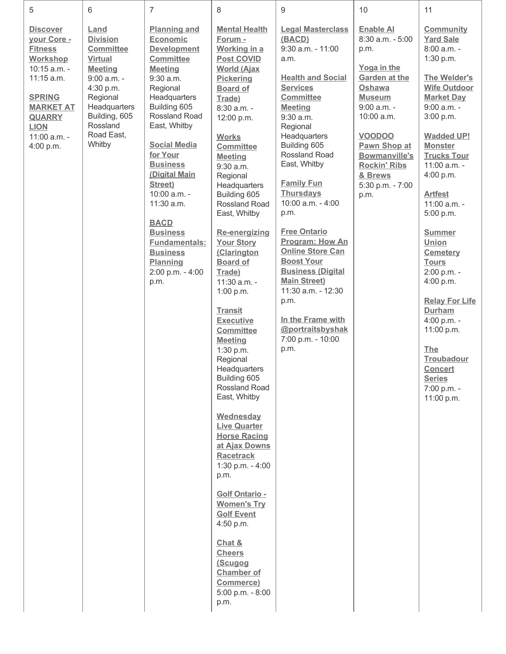| 5                                                                                                                                                                                            | 6                                                                                                                                                                                            | 7                                                                                                                                                                                                                                                                                                                                                                                                                            | 8                                                                                                                                                                                                                                                                                                                                                                                                                                                                                                                                                                                                                                                                                                                                                                                                                                                                                                                                      | 9                                                                                                                                                                                                                                                                                                                                                                                                                                                                                                                                                                                  | 10                                                                                                                                                                                                                                                                   | 11                                                                                                                                                                                                                                                                                                                                                                                                                                                                                                                                                                     |
|----------------------------------------------------------------------------------------------------------------------------------------------------------------------------------------------|----------------------------------------------------------------------------------------------------------------------------------------------------------------------------------------------|------------------------------------------------------------------------------------------------------------------------------------------------------------------------------------------------------------------------------------------------------------------------------------------------------------------------------------------------------------------------------------------------------------------------------|----------------------------------------------------------------------------------------------------------------------------------------------------------------------------------------------------------------------------------------------------------------------------------------------------------------------------------------------------------------------------------------------------------------------------------------------------------------------------------------------------------------------------------------------------------------------------------------------------------------------------------------------------------------------------------------------------------------------------------------------------------------------------------------------------------------------------------------------------------------------------------------------------------------------------------------|------------------------------------------------------------------------------------------------------------------------------------------------------------------------------------------------------------------------------------------------------------------------------------------------------------------------------------------------------------------------------------------------------------------------------------------------------------------------------------------------------------------------------------------------------------------------------------|----------------------------------------------------------------------------------------------------------------------------------------------------------------------------------------------------------------------------------------------------------------------|------------------------------------------------------------------------------------------------------------------------------------------------------------------------------------------------------------------------------------------------------------------------------------------------------------------------------------------------------------------------------------------------------------------------------------------------------------------------------------------------------------------------------------------------------------------------|
| <b>Discover</b><br>your Core -<br><b>Fitness</b><br>Workshop<br>10:15 a.m. -<br>11:15 a.m.<br><b>SPRING</b><br><b>MARKET AT</b><br><b>QUARRY</b><br><b>LION</b><br>11:00 a.m. -<br>4:00 p.m. | Land<br><b>Division</b><br><b>Committee</b><br><b>Virtual</b><br><b>Meeting</b><br>9:00 a.m. -<br>4:30 p.m.<br>Regional<br>Headquarters<br>Building, 605<br>Rossland<br>Road East,<br>Whitby | <b>Planning and</b><br>Economic<br><b>Development</b><br><b>Committee</b><br><b>Meeting</b><br>$9:30$ a.m.<br>Regional<br>Headquarters<br>Building 605<br>Rossland Road<br>East, Whitby<br><b>Social Media</b><br>for Your<br><b>Business</b><br>(Digital Main<br>Street)<br>10:00 a.m. -<br>11:30 a.m.<br><b>BACD</b><br><b>Business</b><br><b>Fundamentals:</b><br><b>Business</b><br>Planning<br>2:00 p.m. - 4:00<br>p.m. | <b>Mental Health</b><br>Forum -<br>Working in a<br><b>Post COVID</b><br><b>World (Ajax</b><br><b>Pickering</b><br><b>Board of</b><br>Trade)<br>8:30 a.m. -<br>12:00 p.m.<br><b>Works</b><br><b>Committee</b><br><b>Meeting</b><br>9:30 a.m.<br>Regional<br>Headquarters<br>Building 605<br>Rossland Road<br>East, Whitby<br><b>Re-energizing</b><br><b>Your Story</b><br>(Clarington<br><b>Board of</b><br>Trade)<br>11:30 a.m. -<br>1:00 p.m.<br><b>Transit</b><br><b>Executive</b><br><b>Committee</b><br><b>Meeting</b><br>1:30 p.m.<br>Regional<br>Headquarters<br>Building 605<br>Rossland Road<br>East, Whitby<br>Wednesday<br><b>Live Quarter</b><br><b>Horse Racing</b><br>at Ajax Downs<br><b>Racetrack</b><br>1:30 p.m. $-4:00$<br>p.m.<br><b>Golf Ontario -</b><br><b>Women's Try</b><br><b>Golf Event</b><br>4:50 p.m.<br>Chat &<br><b>Cheers</b><br>(Scugog<br><b>Chamber of</b><br>Commerce)<br>5:00 p.m. - 8:00<br>p.m. | <b>Legal Masterclass</b><br>(BACD)<br>$9:30$ a.m. - $11:00$<br>a.m.<br><b>Health and Social</b><br><b>Services</b><br><b>Committee</b><br><b>Meeting</b><br>$9:30$ a.m.<br>Regional<br>Headquarters<br>Building 605<br>Rossland Road<br>East, Whitby<br><b>Family Fun</b><br><b>Thursdays</b><br>10:00 a.m. - 4:00<br>p.m.<br><b>Free Ontario</b><br><b>Program: How An</b><br><b>Online Store Can</b><br><b>Boost Your</b><br><b>Business (Digital</b><br><b>Main Street)</b><br>11:30 a.m. - 12:30<br>p.m.<br>In the Frame with<br>@portraitsbyshak<br>7:00 p.m. - 10:00<br>p.m. | <b>Enable AI</b><br>8:30 a.m. - 5:00<br>p.m.<br>Yoga in the<br><b>Garden at the</b><br>Oshawa<br><b>Museum</b><br>$9:00$ a.m. -<br>10:00 a.m.<br><b>VOODOO</b><br>Pawn Shop at<br><b>Bowmanville's</b><br><b>Rockin' Ribs</b><br>& Brews<br>5:30 p.m. - 7:00<br>p.m. | <b>Community</b><br><b>Yard Sale</b><br>8:00 a.m. -<br>1:30 p.m.<br>The Welder's<br><b>Wife Outdoor</b><br><b>Market Day</b><br>$9:00$ a.m. -<br>3:00 p.m.<br><b>Wadded UP!</b><br><b>Monster</b><br><b>Trucks Tour</b><br>11:00 a.m. -<br>4:00 p.m.<br><b>Artfest</b><br>11:00 a.m. -<br>5:00 p.m.<br><b>Summer</b><br>Union<br><b>Cemetery</b><br><b>Tours</b><br>2:00 p.m. -<br>4:00 p.m.<br><b>Relay For Life</b><br><b>Durham</b><br>4:00 p.m. -<br>11:00 p.m.<br><b>The</b><br><b>Troubadour</b><br><b>Concert</b><br><b>Series</b><br>7:00 p.m. -<br>11:00 p.m. |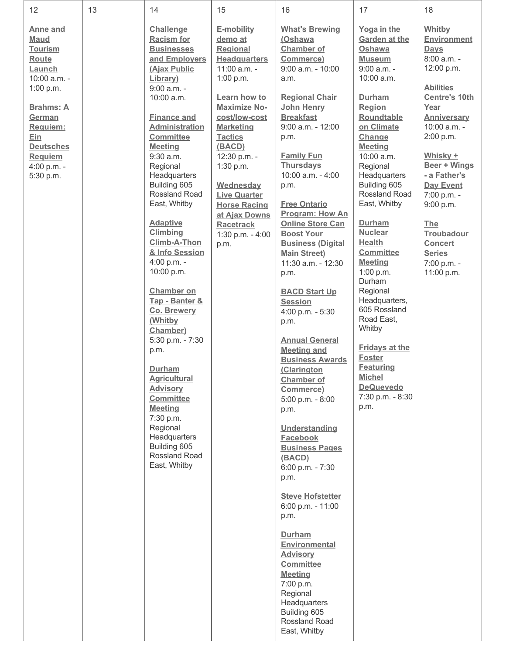| 12                                                                                                                                                                                                                  | 13 | 14                                                                                                                                                                                                                                                                                                                                                                                                                                              | 15                                                                                                                                                                                                                                                                                                                                                            | 16                                                                                                                                                                                                                                                                                                                                                                                                                                                                            | 17                                                                                                                                                                                                                                                                                                                                                                                         | 18                                                                                                                                                                                                                                                                                                                                                               |
|---------------------------------------------------------------------------------------------------------------------------------------------------------------------------------------------------------------------|----|-------------------------------------------------------------------------------------------------------------------------------------------------------------------------------------------------------------------------------------------------------------------------------------------------------------------------------------------------------------------------------------------------------------------------------------------------|---------------------------------------------------------------------------------------------------------------------------------------------------------------------------------------------------------------------------------------------------------------------------------------------------------------------------------------------------------------|-------------------------------------------------------------------------------------------------------------------------------------------------------------------------------------------------------------------------------------------------------------------------------------------------------------------------------------------------------------------------------------------------------------------------------------------------------------------------------|--------------------------------------------------------------------------------------------------------------------------------------------------------------------------------------------------------------------------------------------------------------------------------------------------------------------------------------------------------------------------------------------|------------------------------------------------------------------------------------------------------------------------------------------------------------------------------------------------------------------------------------------------------------------------------------------------------------------------------------------------------------------|
| Anne and<br><b>Maud</b><br><b>Tourism</b><br><b>Route</b><br>Launch<br>10:00 a.m. -<br>1:00 p.m.<br><b>Brahms: A</b><br>German<br>Requiem:<br>Ein<br><b>Deutsches</b><br><b>Requiem</b><br>4:00 p.m. -<br>5:30 p.m. |    | <b>Challenge</b><br><b>Racism for</b><br><b>Businesses</b><br>and Employers<br>(Ajax Public<br>Library)<br>9:00 a.m. -<br>10:00 a.m.<br><b>Finance and</b><br><b>Administration</b><br><b>Committee</b><br><b>Meeting</b><br>$9:30$ a.m.<br>Regional<br>Headquarters<br>Building 605<br>Rossland Road<br>East, Whitby<br><b>Adaptive</b><br><b>Climbing</b><br>Climb-A-Thon<br>& Info Session<br>4:00 p.m. -<br>10:00 p.m.<br><b>Chamber on</b> | E-mobility<br>demo at<br><b>Regional</b><br><b>Headquarters</b><br>11:00 a.m. -<br>1:00 p.m.<br>Learn how to<br><b>Maximize No-</b><br>cost/low-cost<br><b>Marketing</b><br><b>Tactics</b><br>(BACD)<br>12:30 p.m. -<br>1:30 p.m.<br>Wednesday<br><b>Live Quarter</b><br><b>Horse Racing</b><br>at Ajax Downs<br><b>Racetrack</b><br>1:30 p.m. - 4:00<br>p.m. | <b>What's Brewing</b><br>(Oshawa<br><b>Chamber of</b><br>Commerce)<br>$9:00$ a.m. - $10:00$<br>a.m.<br><b>Regional Chair</b><br><b>John Henry</b><br><b>Breakfast</b><br>$9:00$ a.m. - 12:00<br>p.m.<br><b>Family Fun</b><br><b>Thursdays</b><br>10:00 a.m. - 4:00<br>p.m.<br><b>Free Ontario</b><br><b>Program: How An</b><br><b>Online Store Can</b><br><b>Boost Your</b><br><b>Business (Digital</b><br><b>Main Street)</b><br>11:30 a.m. - 12:30<br>p.m.                  | Yoga in the<br><b>Garden at the</b><br>Oshawa<br><b>Museum</b><br>$9:00$ a.m. -<br>10:00 a.m.<br>Durham<br>Region<br>Roundtable<br>on Climate<br>Change<br><b>Meeting</b><br>10:00 a.m.<br>Regional<br>Headquarters<br>Building 605<br>Rossland Road<br>East, Whitby<br>Durham<br><b>Nuclear</b><br><b>Health</b><br><b>Committee</b><br><b>Meeting</b><br>1:00 p.m.<br>Durham<br>Regional | Whitby<br><b>Environment</b><br>Days<br>8:00 a.m. -<br>12:00 p.m.<br><b>Abilities</b><br><b>Centre's 10th</b><br>Year<br><b>Anniversary</b><br>10:00 a.m. -<br>2:00 p.m.<br>Whisky +<br>Beer + Wings<br>- a Father's<br>Day Event<br>7:00 p.m. -<br>9:00 p.m.<br><b>The</b><br><b>Troubadour</b><br><b>Concert</b><br><b>Series</b><br>7:00 p.m. -<br>11:00 p.m. |
|                                                                                                                                                                                                                     |    | Tap - Banter &<br>Co. Brewery<br>(Whitby<br>Chamber)<br>5:30 p.m. - 7:30<br>p.m.<br><b>Durham</b><br><b>Agricultural</b><br><b>Advisory</b><br><b>Committee</b><br><b>Meeting</b><br>7:30 p.m.<br>Regional<br>Headquarters<br>Building 605<br>Rossland Road<br>East, Whitby                                                                                                                                                                     |                                                                                                                                                                                                                                                                                                                                                               | <b>BACD Start Up</b><br><b>Session</b><br>4:00 p.m. - 5:30<br>p.m.<br><b>Annual General</b><br><b>Meeting and</b><br><b>Business Awards</b><br>(Clarington<br><b>Chamber of</b><br>Commerce)<br>$5:00$ p.m. - $8:00$<br>p.m.<br>Understanding<br>Facebook<br><b>Business Pages</b><br>(BACD)<br>6:00 p.m. - 7:30<br>p.m.<br><b>Steve Hofstetter</b><br>$6:00$ p.m. - 11:00<br>p.m.<br><b>Durham</b><br>Environmental<br><b>Advisory</b><br><b>Committee</b><br><b>Meeting</b> | Headquarters,<br>605 Rossland<br>Road East,<br>Whitby<br><b>Fridays at the</b><br><b>Foster</b><br><b>Featuring</b><br><b>Michel</b><br><b>DeQuevedo</b><br>7:30 p.m. - 8:30<br>p.m.                                                                                                                                                                                                       |                                                                                                                                                                                                                                                                                                                                                                  |
|                                                                                                                                                                                                                     |    |                                                                                                                                                                                                                                                                                                                                                                                                                                                 |                                                                                                                                                                                                                                                                                                                                                               | 7:00 p.m.<br>Regional<br>Headquarters<br>Building 605<br>Rossland Road<br>East, Whitby                                                                                                                                                                                                                                                                                                                                                                                        |                                                                                                                                                                                                                                                                                                                                                                                            |                                                                                                                                                                                                                                                                                                                                                                  |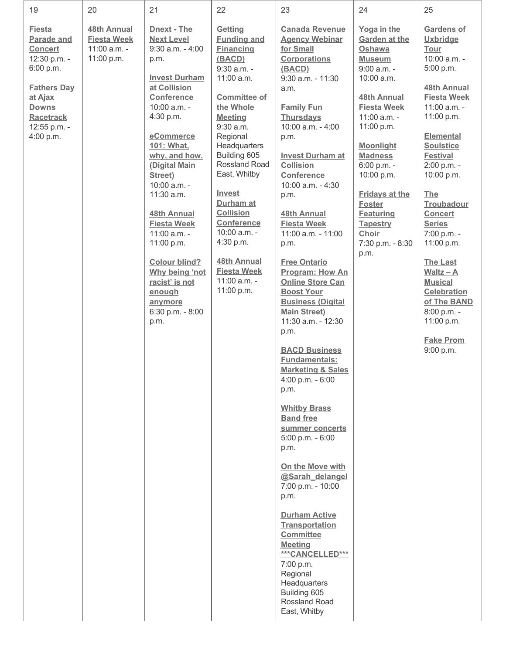| 19<br>20<br>21<br>22<br>23<br>24                                                                                                                                                                                                                                                                                                                                                                                                                                                                                                                                                                                                                                                                                                                                                                                                                                                                                                                                                                                                                                                                                                                                                                                                                                                                                                                                                                                                                                                                                                                                                                                                                                                                                                                                                                                                                                                                                                                                                                                                                                                                                                                                                                                                                                                                                                                                                                                                                                                                                 | 25                                                                                                                                                                                                                                                                                                                                                                                                                                                                        |
|------------------------------------------------------------------------------------------------------------------------------------------------------------------------------------------------------------------------------------------------------------------------------------------------------------------------------------------------------------------------------------------------------------------------------------------------------------------------------------------------------------------------------------------------------------------------------------------------------------------------------------------------------------------------------------------------------------------------------------------------------------------------------------------------------------------------------------------------------------------------------------------------------------------------------------------------------------------------------------------------------------------------------------------------------------------------------------------------------------------------------------------------------------------------------------------------------------------------------------------------------------------------------------------------------------------------------------------------------------------------------------------------------------------------------------------------------------------------------------------------------------------------------------------------------------------------------------------------------------------------------------------------------------------------------------------------------------------------------------------------------------------------------------------------------------------------------------------------------------------------------------------------------------------------------------------------------------------------------------------------------------------------------------------------------------------------------------------------------------------------------------------------------------------------------------------------------------------------------------------------------------------------------------------------------------------------------------------------------------------------------------------------------------------------------------------------------------------------------------------------------------------|---------------------------------------------------------------------------------------------------------------------------------------------------------------------------------------------------------------------------------------------------------------------------------------------------------------------------------------------------------------------------------------------------------------------------------------------------------------------------|
| <b>Fiesta</b><br>48th Annual<br><b>Dnext - The</b><br>Getting<br><b>Canada Revenue</b><br>Yoga in the<br><b>Parade and</b><br><b>Fiesta Week</b><br><b>Next Level</b><br><b>Funding and</b><br><b>Agency Webinar</b><br><b>Garden at the</b><br>11:00 a.m. -<br>$9:30$ a.m. - $4:00$<br><b>Financing</b><br>for Small<br><b>Concert</b><br>Oshawa<br>11:00 p.m.<br>12:30 p.m. -<br>(BACD)<br><b>Corporations</b><br><b>Museum</b><br>p.m.<br>6:00 p.m.<br>9:30 a.m. -<br>9:00 a.m. -<br>(BACD)<br><b>Invest Durham</b><br>11:00 a.m.<br>$9:30$ a.m. - 11:30<br>10:00 a.m.<br>at Collision<br><b>Fathers Day</b><br>a.m.<br><b>Conference</b><br>at Ajax<br><b>Committee of</b><br>48th Annual<br>10:00 a.m. -<br>the Whole<br><b>Fiesta Week</b><br><b>Downs</b><br><b>Family Fun</b><br>4:30 p.m.<br><b>Thursdays</b><br>11:00 a.m. -<br><b>Racetrack</b><br><b>Meeting</b><br>$9:30$ a.m.<br>10:00 a.m. - 4:00<br>11:00 p.m.<br>12:55 p.m. -<br>4:00 p.m.<br>eCommerce<br>Regional<br>p.m.<br>101: What,<br>Headquarters<br><b>Moonlight</b><br>Building 605<br><b>Invest Durham at</b><br><b>Madness</b><br>why, and how.<br>Rossland Road<br><b>Collision</b><br>(Digital Main<br>6:00 p.m. -<br>East, Whitby<br>Street)<br>Conference<br>10:00 p.m.<br>10:00 a.m. -<br>$10:00$ a.m. $-4:30$<br><b>Invest</b><br>11:30 a.m.<br><b>Fridays at the</b><br>p.m.<br>Durham at<br><b>Foster</b><br><b>Collision</b><br><b>48th Annual</b><br><b>48th Annual</b><br><b>Featuring</b><br>Conference<br><b>Fiesta Week</b><br><b>Fiesta Week</b><br><b>Tapestry</b><br>10:00 a.m. -<br>11:00 a.m. -<br>11:00 a.m. - 11:00<br>Choir<br>4:30 p.m.<br>11:00 p.m.<br>7:30 p.m. - 8:30<br>p.m.<br>p.m.<br><b>48th Annual</b><br><b>Colour blind?</b><br><b>Free Ontario</b><br><b>Fiesta Week</b><br>Program: How An<br>Why being 'not<br>11:00 a.m. -<br>racist' is not<br><b>Online Store Can</b><br>11:00 p.m.<br><b>Boost Your</b><br>enough<br><b>Business (Digital</b><br>anymore<br>6:30 p.m. - 8:00<br><b>Main Street)</b><br>11:30 a.m. - 12:30<br>p.m.<br>p.m.<br><b>BACD Business</b><br><b>Fundamentals:</b><br><b>Marketing &amp; Sales</b><br>4:00 p.m. - 6:00<br>p.m.<br><b>Whitby Brass</b><br><b>Band free</b><br>summer concerts<br>$5:00$ p.m. - $6:00$<br>p.m.<br>On the Move with<br>@Sarah delangel<br>7:00 p.m. - 10:00<br>p.m.<br><b>Durham Active</b><br><b>Transportation</b><br><b>Committee</b><br><b>Meeting</b><br>***CANCELLED***<br>7:00 p.m.<br>Regional<br>Headquarters<br>Building 605 | Gardens of<br><b>Uxbridge</b><br>Tour<br>10:00 a.m. -<br>5:00 p.m.<br>48th Annual<br><b>Fiesta Week</b><br>11:00 a.m. -<br>11:00 p.m.<br><b>Elemental</b><br><b>Soulstice</b><br><b>Festival</b><br>2:00 p.m. -<br>10:00 p.m.<br>The<br>Troubadour<br><b>Concert</b><br><b>Series</b><br>7:00 p.m. -<br>11:00 p.m.<br><b>The Last</b><br>Waltz $-$ A<br><b>Musical</b><br><b>Celebration</b><br>of The BAND<br>8:00 p.m. -<br>11:00 p.m.<br><b>Fake Prom</b><br>9:00 p.m. |